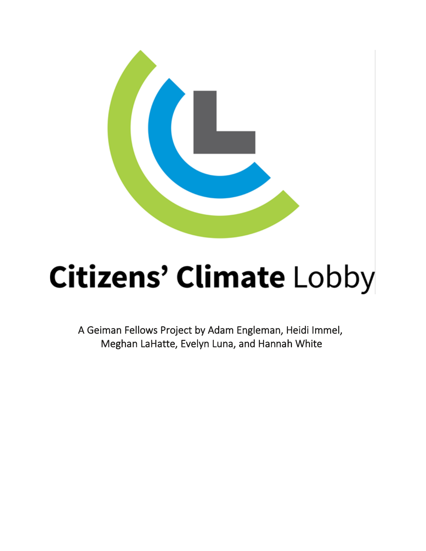

# **Citizens' Climate Lobby**

A Geiman Fellows Project by Adam Engleman, Heidi Immel, Meghan LaHatte, Evelyn Luna, and Hannah White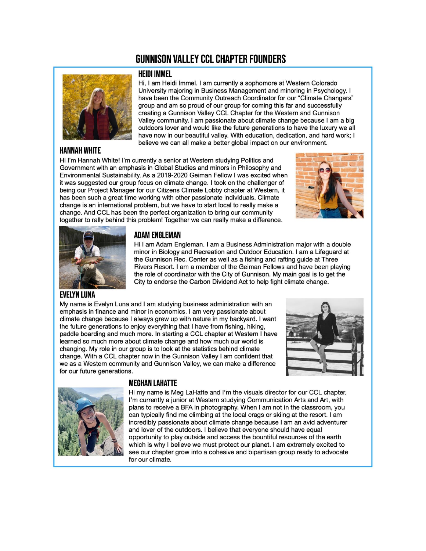### **GUNNISON VALLEY CCL CHAPTER FOUNDERS**



#### **HANNAH WHITE**

#### **HEIDI IMMEL**

Hi, I am Heidi Immel. I am currently a sophomore at Western Colorado University majoring in Business Management and minoring in Psychology. I have been the Community Outreach Coordinator for our "Climate Changers" group and am so proud of our group for coming this far and successfully creating a Gunnison Valley CCL Chapter for the Western and Gunnison Valley community. I am passionate about climate change because I am a big outdoors lover and would like the future generations to have the luxury we all have now in our beautiful valley. With education, dedication, and hard work; I believe we can all make a better global impact on our environment.

Hi I'm Hannah White! I'm currently a senior at Western studying Politics and Government with an emphasis in Global Studies and minors in Philosophy and Environmental Sustainability. As a 2019-2020 Geiman Fellow I was excited when it was suggested our group focus on climate change. I took on the challenger of being our Project Manager for our Citizens Climate Lobby chapter at Western, it has been such a great time working with other passionate individuals. Climate change is an international problem, but we have to start local to really make a change. And CCL has been the perfect organization to bring our community together to rally behind this problem! Together we can really make a difference.





#### **ADAM ENGLEMAN**

Hi I am Adam Engleman. I am a Business Administration major with a double minor in Biology and Recreation and Outdoor Education. I am a Lifeguard at the Gunnison Rec. Center as well as a fishing and rafting guide at Three Rivers Resort. I am a member of the Geiman Fellows and have been playing the role of coordinator with the City of Gunnison. My main goal is to get the City to endorse the Carbon Dividend Act to help fight climate change.

#### **EVELYN LUNA**

My name is Evelyn Luna and I am studying business administration with an emphasis in finance and minor in economics. I am very passionate about climate change because I always grew up with nature in my backyard. I want the future generations to enjoy everything that I have from fishing, hiking, paddle boarding and much more. In starting a CCL chapter at Western I have learned so much more about climate change and how much our world is changing. My role in our group is to look at the statistics behind climate change. With a CCL chapter now in the Gunnison Valley I am confident that we as a Western community and Gunnison Valley, we can make a difference for our future generations.





#### **MEGHAN LAHATTE**

Hi my name is Meg LaHatte and I'm the visuals director for our CCL chapter. I'm currently a junior at Western studying Communication Arts and Art, with plans to receive a BFA in photography. When I am not in the classroom, you can typically find me climbing at the local crags or skiing at the resort. I am incredibly passionate about climate change because I am an avid adventurer and lover of the outdoors. I believe that everyone should have equal opportunity to play outside and access the bountiful resources of the earth which is why I believe we must protect our planet. I am extremely excited to see our chapter grow into a cohesive and bipartisan group ready to advocate for our climate.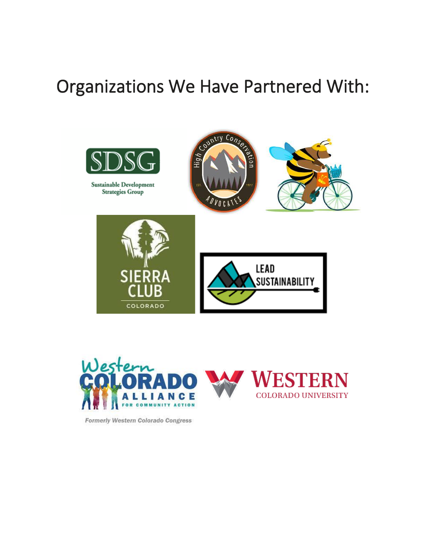## Organizations We Have Partnered With:



Sustainable Development Strategies Group









Formerly Western Colorado Congress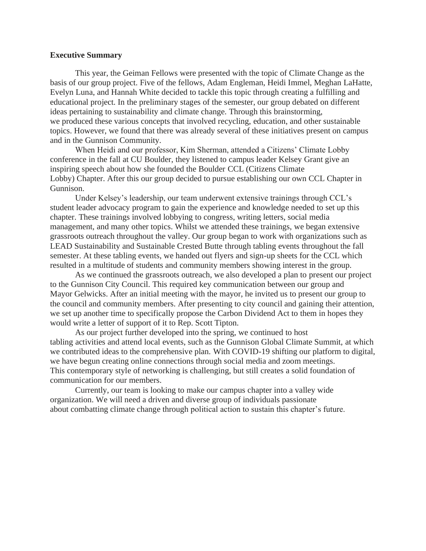#### **Executive Summary**

This year, the Geiman Fellows were presented with the topic of Climate Change as the basis of our group project. Five of the fellows, Adam Engleman, Heidi Immel, Meghan LaHatte, Evelyn Luna, and Hannah White decided to tackle this topic through creating a fulfilling and educational project. In the preliminary stages of the semester, our group debated on different ideas pertaining to sustainability and climate change. Through this brainstorming, we produced these various concepts that involved recycling, education, and other sustainable topics. However, we found that there was already several of these initiatives present on campus and in the Gunnison Community.

When Heidi and our professor, Kim Sherman, attended a Citizens' Climate Lobby conference in the fall at CU Boulder, they listened to campus leader Kelsey Grant give an inspiring speech about how she founded the Boulder CCL (Citizens Climate Lobby) Chapter. After this our group decided to pursue establishing our own CCL Chapter in Gunnison.

Under Kelsey's leadership, our team underwent extensive trainings through CCL's student leader advocacy program to gain the experience and knowledge needed to set up this chapter. These trainings involved lobbying to congress, writing letters, social media management, and many other topics. Whilst we attended these trainings, we began extensive grassroots outreach throughout the valley. Our group began to work with organizations such as LEAD Sustainability and Sustainable Crested Butte through tabling events throughout the fall semester. At these tabling events, we handed out flyers and sign-up sheets for the CCL which resulted in a multitude of students and community members showing interest in the group.

As we continued the grassroots outreach, we also developed a plan to present our project to the Gunnison City Council. This required key communication between our group and Mayor Gelwicks. After an initial meeting with the mayor, he invited us to present our group to the council and community members. After presenting to city council and gaining their attention, we set up another time to specifically propose the Carbon Dividend Act to them in hopes they would write a letter of support of it to Rep. Scott Tipton.

As our project further developed into the spring, we continued to host tabling activities and attend local events, such as the Gunnison Global Climate Summit, at which we contributed ideas to the comprehensive plan. With COVID-19 shifting our platform to digital, we have begun creating online connections through social media and zoom meetings. This contemporary style of networking is challenging, but still creates a solid foundation of communication for our members.

Currently, our team is looking to make our campus chapter into a valley wide organization. We will need a driven and diverse group of individuals passionate about combatting climate change through political action to sustain this chapter's future.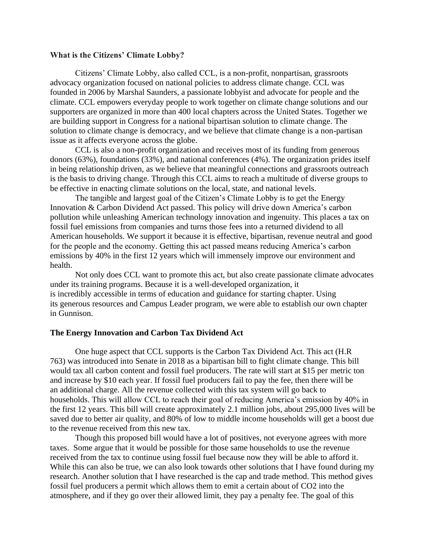#### **What is the Citizens' Climate Lobby?**

Citizens' Climate Lobby, also called CCL, is a non-profit, nonpartisan, grassroots advocacy organization focused on national policies to address climate change. CCL was founded in 2006 by Marshal Saunders, a passionate lobbyist and advocate for people and the climate. CCL empowers everyday people to work together on climate change solutions and our supporters are organized in more than 400 local chapters across the United States. Together we are building support in Congress for a national bipartisan solution to climate change. The solution to climate change is democracy, and we believe that climate change is a non-partisan issue as it affects everyone across the globe.

CCL is also a non-profit organization and receives most of its funding from generous donors (63%), foundations (33%), and national conferences (4%). The organization prides itself in being relationship driven, as we believe that meaningful connections and grassroots outreach is the basis to driving change. Through this CCL aims to reach a multitude of diverse groups to be effective in enacting climate solutions on the local, state, and national levels.

The tangible and largest goal of the Citizen's Climate Lobby is to get the Energy Innovation & Carbon Dividend Act passed. This policy will drive down America's carbon pollution while unleashing American technology innovation and ingenuity. This places a tax on fossil fuel emissions from companies and turns those fees into a returned dividend to all American households. We support it because it is effective, bipartisan, revenue neutral and good for the people and the economy. Getting this act passed means reducing America's carbon emissions by 40% in the first 12 years which will immensely improve our environment and health.

Not only does CCL want to promote this act, but also create passionate climate advocates under its training programs. Because it is a well-developed organization, it is incredibly accessible in terms of education and guidance for starting chapter. Using its generous resources and Campus Leader program, we were able to establish our own chapter in Gunnison.

#### **The Energy Innovation and Carbon Tax Dividend Act**

One huge aspect that CCL supports is the Carbon Tax Dividend Act. This act (H.R 763) was introduced into Senate in 2018 as a bipartisan bill to fight climate change. This bill would tax all carbon content and fossil fuel producers. The rate will start at \$15 per metric ton and increase by \$10 each year. If fossil fuel producers fail to pay the fee, then there will be an additional charge. All the revenue collected with this tax system will go back to households. This will allow CCL to reach their goal of reducing America's emission by 40% in the first 12 years. This bill will create approximately 2.1 million jobs, about 295,000 lives will be saved due to better air quality, and 80% of low to middle income households will get a boost due to the revenue received from this new tax.

Though this proposed bill would have a lot of positives, not everyone agrees with more taxes. Some argue that it would be possible for those same households to use the revenue received from the tax to continue using fossil fuel because now they will be able to afford it. While this can also be true, we can also look towards other solutions that I have found during my research. Another solution that I have researched is the cap and trade method. This method gives fossil fuel producers a permit which allows them to emit a certain about of CO2 into the atmosphere, and if they go over their allowed limit, they pay a penalty fee. The goal of this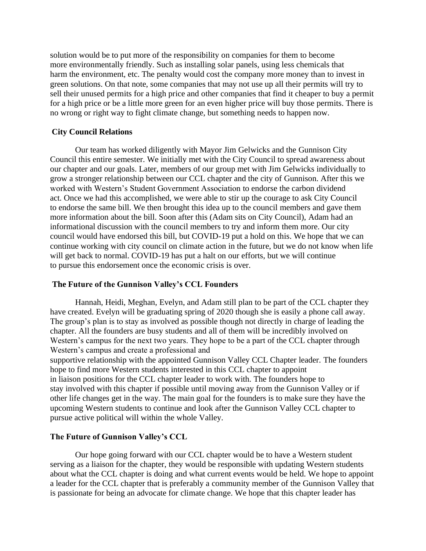solution would be to put more of the responsibility on companies for them to become more environmentally friendly. Such as installing solar panels, using less chemicals that harm the environment, etc. The penalty would cost the company more money than to invest in green solutions. On that note, some companies that may not use up all their permits will try to sell their unused permits for a high price and other companies that find it cheaper to buy a permit for a high price or be a little more green for an even higher price will buy those permits. There is no wrong or right way to fight climate change, but something needs to happen now.

#### **City Council Relations**

Our team has worked diligently with Mayor Jim Gelwicks and the Gunnison City Council this entire semester. We initially met with the City Council to spread awareness about our chapter and our goals. Later, members of our group met with Jim Gelwicks individually to grow a stronger relationship between our CCL chapter and the city of Gunnison. After this we worked with Western's Student Government Association to endorse the carbon dividend act. Once we had this accomplished, we were able to stir up the courage to ask City Council to endorse the same bill. We then brought this idea up to the council members and gave them more information about the bill. Soon after this (Adam sits on City Council), Adam had an informational discussion with the council members to try and inform them more. Our city council would have endorsed this bill, but COVID-19 put a hold on this. We hope that we can continue working with city council on climate action in the future, but we do not know when life will get back to normal. COVID-19 has put a halt on our efforts, but we will continue to pursue this endorsement once the economic crisis is over.

#### **The Future of the Gunnison Valley's CCL Founders**

Hannah, Heidi, Meghan, Evelyn, and Adam still plan to be part of the CCL chapter they have created. Evelyn will be graduating spring of 2020 though she is easily a phone call away. The group's plan is to stay as involved as possible though not directly in charge of leading the chapter. All the founders are busy students and all of them will be incredibly involved on Western's campus for the next two years. They hope to be a part of the CCL chapter through Western's campus and create a professional and supportive relationship with the appointed Gunnison Valley CCL Chapter leader. The founders hope to find more Western students interested in this CCL chapter to appoint in liaison positions for the CCL chapter leader to work with. The founders hope to stay involved with this chapter if possible until moving away from the Gunnison Valley or if other life changes get in the way. The main goal for the founders is to make sure they have the upcoming Western students to continue and look after the Gunnison Valley CCL chapter to pursue active political will within the whole Valley.

#### **The Future of Gunnison Valley's CCL**

Our hope going forward with our CCL chapter would be to have a Western student serving as a liaison for the chapter, they would be responsible with updating Western students about what the CCL chapter is doing and what current events would be held. We hope to appoint a leader for the CCL chapter that is preferably a community member of the Gunnison Valley that is passionate for being an advocate for climate change. We hope that this chapter leader has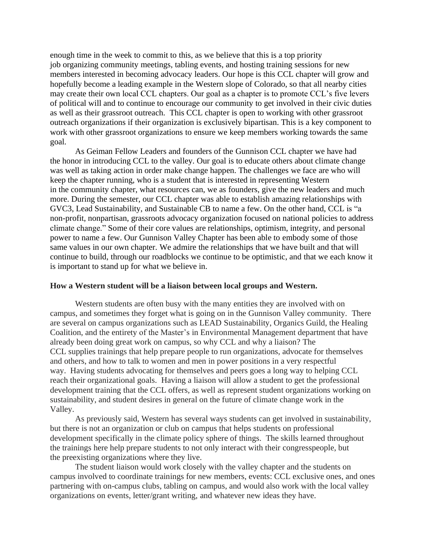enough time in the week to commit to this, as we believe that this is a top priority job organizing community meetings, tabling events, and hosting training sessions for new members interested in becoming advocacy leaders. Our hope is this CCL chapter will grow and hopefully become a leading example in the Western slope of Colorado, so that all nearby cities may create their own local CCL chapters. Our goal as a chapter is to promote CCL's five levers of political will and to continue to encourage our community to get involved in their civic duties as well as their grassroot outreach. This CCL chapter is open to working with other grassroot outreach organizations if their organization is exclusively bipartisan. This is a key component to work with other grassroot organizations to ensure we keep members working towards the same goal.

As Geiman Fellow Leaders and founders of the Gunnison CCL chapter we have had the honor in introducing CCL to the valley. Our goal is to educate others about climate change was well as taking action in order make change happen. The challenges we face are who will keep the chapter running, who is a student that is interested in representing Western in the community chapter, what resources can, we as founders, give the new leaders and much more. During the semester, our CCL chapter was able to establish amazing relationships with GVC3, Lead Sustainability, and Sustainable CB to name a few. On the other hand, CCL is "a non-profit, nonpartisan, grassroots advocacy organization focused on national policies to address climate change." Some of their core values are relationships, optimism, integrity, and personal power to name a few. Our Gunnison Valley Chapter has been able to embody some of those same values in our own chapter. We admire the relationships that we have built and that will continue to build, through our roadblocks we continue to be optimistic, and that we each know it is important to stand up for what we believe in.

#### **How a Western student will be a liaison between local groups and Western.**

Western students are often busy with the many entities they are involved with on campus, and sometimes they forget what is going on in the Gunnison Valley community. There are several on campus organizations such as LEAD Sustainability, Organics Guild, the Healing Coalition, and the entirety of the Master's in Environmental Management department that have already been doing great work on campus, so why CCL and why a liaison? The CCL supplies trainings that help prepare people to run organizations, advocate for themselves and others, and how to talk to women and men in power positions in a very respectful way. Having students advocating for themselves and peers goes a long way to helping CCL reach their organizational goals. Having a liaison will allow a student to get the professional development training that the CCL offers, as well as represent student organizations working on sustainability, and student desires in general on the future of climate change work in the Valley.

As previously said, Western has several ways students can get involved in sustainability, but there is not an organization or club on campus that helps students on professional development specifically in the climate policy sphere of things. The skills learned throughout the trainings here help prepare students to not only interact with their congresspeople, but the preexisting organizations where they live.

The student liaison would work closely with the valley chapter and the students on campus involved to coordinate trainings for new members, events: CCL exclusive ones, and ones partnering with on-campus clubs, tabling on campus, and would also work with the local valley organizations on events, letter/grant writing, and whatever new ideas they have.